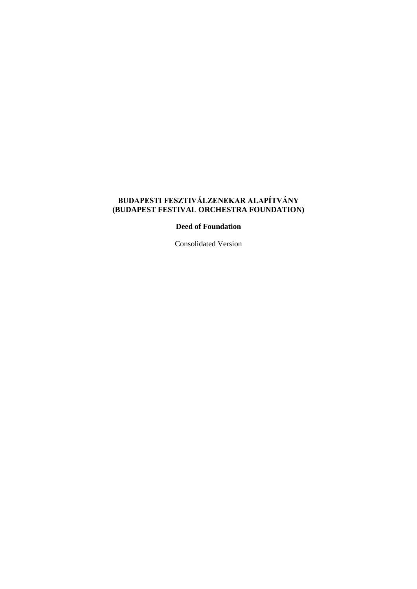# **BUDAPESTI FESZTIVÁLZENEKAR ALAPÍTVÁNY (BUDAPEST FESTIVAL ORCHESTRA FOUNDATION)**

**Deed of Foundation**

Consolidated Version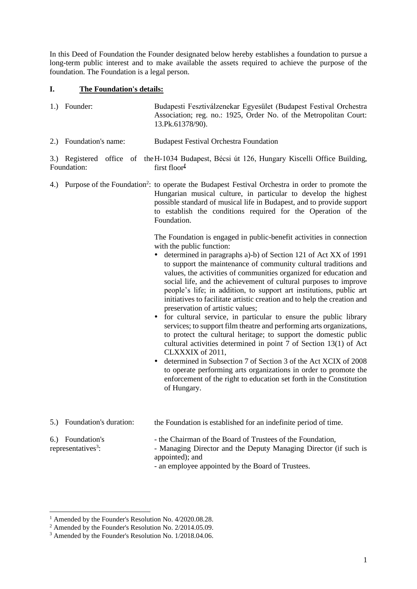In this Deed of Foundation the Founder designated below hereby establishes a foundation to pursue a long-term public interest and to make available the assets required to achieve the purpose of the foundation. The Foundation is a legal person.

# **I. The Foundation's details:**

| 1.) Founder: | Budapesti Fesztiválzenekar Egyesület (Budapest Festival Orchestra |
|--------------|-------------------------------------------------------------------|
|              | Association; reg. no.: 1925, Order No. of the Metropolitan Court: |
|              | 13.Pk.61378/90).                                                  |
|              |                                                                   |

2.) Foundation's name: Budapest Festival Orchestra Foundation

#### 3.) Registered office of the H-1034 Budapest, Bécsi út 126, Hungary Kiscelli Office Building, Foundation: first floor*<sup>1</sup>*

4.) Purpose of the Foundation<sup>2</sup>: to operate the Budapest Festival Orchestra in order to promote the Hungarian musical culture, in particular to develop the highest possible standard of musical life in Budapest, and to provide support to establish the conditions required for the Operation of the Foundation.

> The Foundation is engaged in public-benefit activities in connection with the public function:

- determined in paragraphs a)-b) of Section 121 of Act XX of 1991 to support the maintenance of community cultural traditions and values, the activities of communities organized for education and social life, and the achievement of cultural purposes to improve people's life; in addition, to support art institutions, public art initiatives to facilitate artistic creation and to help the creation and preservation of artistic values;
- for cultural service, in particular to ensure the public library services; to support film theatre and performing arts organizations, to protect the cultural heritage; to support the domestic public cultural activities determined in point 7 of Section 13(1) of Act CLXXXIX of 2011,
- determined in Subsection 7 of Section 3 of the Act XCIX of 2008 to operate performing arts organizations in order to promote the enforcement of the right to education set forth in the Constitution of Hungary.

| 5.) Foundation's duration:                         | the Foundation is established for an indefinite period of time.                                                                                                                                     |
|----------------------------------------------------|-----------------------------------------------------------------------------------------------------------------------------------------------------------------------------------------------------|
| 6.) Foundation's<br>representatives <sup>3</sup> : | - the Chairman of the Board of Trustees of the Foundation,<br>- Managing Director and the Deputy Managing Director (if such is<br>appointed); and<br>an amplayse appointed by the Deand of Tweeters |

<sup>-</sup> an employee appointed by the Board of Trustees.

<sup>1</sup> Amended by the Founder's Resolution No. 4/2020.08.28.

<sup>2</sup> Amended by the Founder's Resolution No. 2/2014.05.09.

<sup>3</sup> Amended by the Founder's Resolution No. 1/2018.04.06.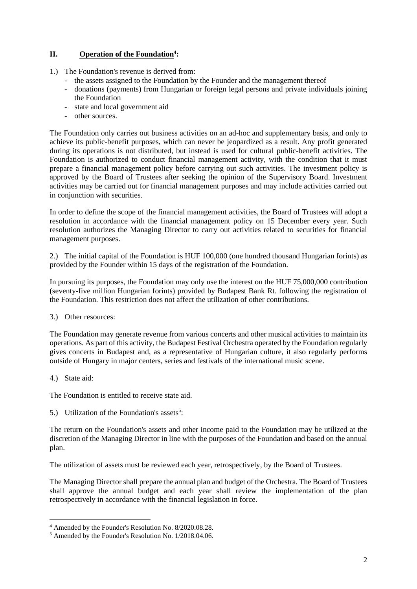# **II. Operation of the Foundation<sup>4</sup> :**

- 1.) The Foundation's revenue is derived from:
	- the assets assigned to the Foundation by the Founder and the management thereof
	- donations (payments) from Hungarian or foreign legal persons and private individuals joining the Foundation
	- state and local government aid
	- other sources.

The Foundation only carries out business activities on an ad-hoc and supplementary basis, and only to achieve its public-benefit purposes, which can never be jeopardized as a result. Any profit generated during its operations is not distributed, but instead is used for cultural public-benefit activities. The Foundation is authorized to conduct financial management activity, with the condition that it must prepare a financial management policy before carrying out such activities. The investment policy is approved by the Board of Trustees after seeking the opinion of the Supervisory Board. Investment activities may be carried out for financial management purposes and may include activities carried out in conjunction with securities.

In order to define the scope of the financial management activities, the Board of Trustees will adopt a resolution in accordance with the financial management policy on 15 December every year. Such resolution authorizes the Managing Director to carry out activities related to securities for financial management purposes.

2.) The initial capital of the Foundation is HUF 100,000 (one hundred thousand Hungarian forints) as provided by the Founder within 15 days of the registration of the Foundation.

In pursuing its purposes, the Foundation may only use the interest on the HUF 75,000,000 contribution (seventy-five million Hungarian forints) provided by Budapest Bank Rt. following the registration of the Foundation. This restriction does not affect the utilization of other contributions.

3.) Other resources:

The Foundation may generate revenue from various concerts and other musical activities to maintain its operations. As part of this activity, the Budapest Festival Orchestra operated by the Foundation regularly gives concerts in Budapest and, as a representative of Hungarian culture, it also regularly performs outside of Hungary in major centers, series and festivals of the international music scene.

4.) State aid:

The Foundation is entitled to receive state aid.

5.) Utilization of the Foundation's assets<sup>5</sup>:

The return on the Foundation's assets and other income paid to the Foundation may be utilized at the discretion of the Managing Director in line with the purposes of the Foundation and based on the annual plan.

The utilization of assets must be reviewed each year, retrospectively, by the Board of Trustees.

The Managing Director shall prepare the annual plan and budget of the Orchestra. The Board of Trustees shall approve the annual budget and each year shall review the implementation of the plan retrospectively in accordance with the financial legislation in force.

<sup>4</sup> Amended by the Founder's Resolution No. 8/2020.08.28.

<sup>5</sup> Amended by the Founder's Resolution No. 1/2018.04.06.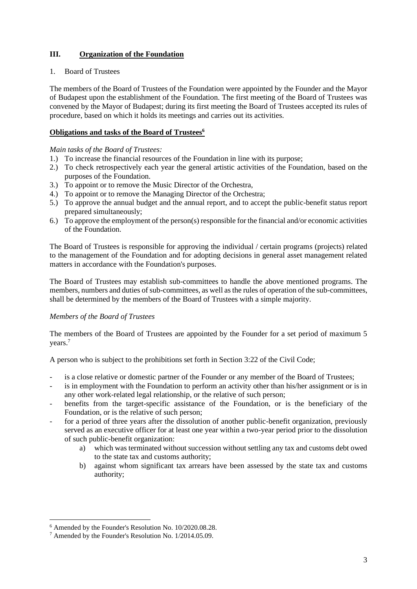# **III. Organization of the Foundation**

#### 1. Board of Trustees

The members of the Board of Trustees of the Foundation were appointed by the Founder and the Mayor of Budapest upon the establishment of the Foundation. The first meeting of the Board of Trustees was convened by the Mayor of Budapest; during its first meeting the Board of Trustees accepted its rules of procedure, based on which it holds its meetings and carries out its activities.

# **Obligations and tasks of the Board of Trustees<sup>6</sup>**

#### *Main tasks of the Board of Trustees:*

- 1.) To increase the financial resources of the Foundation in line with its purpose;
- 2.) To check retrospectively each year the general artistic activities of the Foundation, based on the purposes of the Foundation.
- 3.) To appoint or to remove the Music Director of the Orchestra,
- 4.) To appoint or to remove the Managing Director of the Orchestra;
- 5.) To approve the annual budget and the annual report, and to accept the public-benefit status report prepared simultaneously;
- 6.) To approve the employment of the person(s) responsible for the financial and/or economic activities of the Foundation.

The Board of Trustees is responsible for approving the individual / certain programs (projects) related to the management of the Foundation and for adopting decisions in general asset management related matters in accordance with the Foundation's purposes.

The Board of Trustees may establish sub-committees to handle the above mentioned programs. The members, numbers and duties of sub-committees, as well as the rules of operation of the sub-committees, shall be determined by the members of the Board of Trustees with a simple majority.

# *Members of the Board of Trustees*

The members of the Board of Trustees are appointed by the Founder for a set period of maximum 5 years.<sup>7</sup>

A person who is subject to the prohibitions set forth in Section 3:22 of the Civil Code;

- is a close relative or domestic partner of the Founder or any member of the Board of Trustees;
- is in employment with the Foundation to perform an activity other than his/her assignment or is in any other work-related legal relationship, or the relative of such person;
- benefits from the target-specific assistance of the Foundation, or is the beneficiary of the Foundation, or is the relative of such person;
- for a period of three years after the dissolution of another public-benefit organization, previously served as an executive officer for at least one year within a two-year period prior to the dissolution of such public-benefit organization:
	- a) which was terminated without succession without settling any tax and customs debt owed to the state tax and customs authority;
	- b) against whom significant tax arrears have been assessed by the state tax and customs authority;

<sup>6</sup> Amended by the Founder's Resolution No. 10/2020.08.28.

<sup>7</sup> Amended by the Founder's Resolution No. 1/2014.05.09.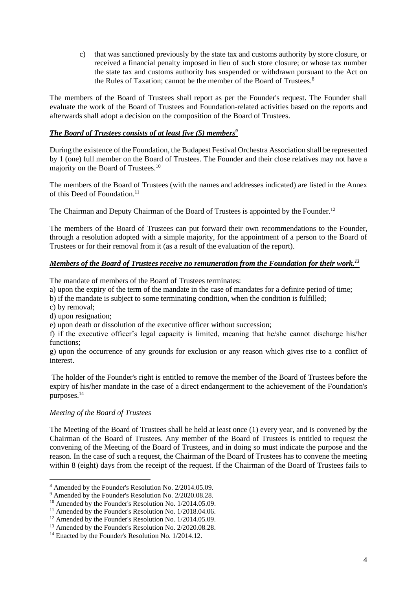c) that was sanctioned previously by the state tax and customs authority by store closure, or received a financial penalty imposed in lieu of such store closure; or whose tax number the state tax and customs authority has suspended or withdrawn pursuant to the Act on the Rules of Taxation; cannot be the member of the Board of Trustees.<sup>8</sup>

The members of the Board of Trustees shall report as per the Founder's request. The Founder shall evaluate the work of the Board of Trustees and Foundation-related activities based on the reports and afterwards shall adopt a decision on the composition of the Board of Trustees.

# *The Board of Trustees consists of at least five (5) members<sup>9</sup>*

During the existence of the Foundation, the Budapest Festival Orchestra Association shall be represented by 1 (one) full member on the Board of Trustees. The Founder and their close relatives may not have a majority on the Board of Trustees.<sup>10</sup>

The members of the Board of Trustees (with the names and addresses indicated) are listed in the Annex of this Deed of Foundation.<sup>11</sup>

The Chairman and Deputy Chairman of the Board of Trustees is appointed by the Founder.<sup>12</sup>

The members of the Board of Trustees can put forward their own recommendations to the Founder, through a resolution adopted with a simple majority, for the appointment of a person to the Board of Trustees or for their removal from it (as a result of the evaluation of the report).

# *Members of the Board of Trustees receive no remuneration from the Foundation for their work.<sup>13</sup>*

The mandate of members of the Board of Trustees terminates:

a) upon the expiry of the term of the mandate in the case of mandates for a definite period of time;

b) if the mandate is subject to some terminating condition, when the condition is fulfilled;

c) by removal;

d) upon resignation;

e) upon death or dissolution of the executive officer without succession;

f) if the executive officer's legal capacity is limited, meaning that he/she cannot discharge his/her functions;

g) upon the occurrence of any grounds for exclusion or any reason which gives rise to a conflict of interest.

The holder of the Founder's right is entitled to remove the member of the Board of Trustees before the expiry of his/her mandate in the case of a direct endangerment to the achievement of the Foundation's purposes.<sup>14</sup>

# *Meeting of the Board of Trustees*

The Meeting of the Board of Trustees shall be held at least once (1) every year, and is convened by the Chairman of the Board of Trustees. Any member of the Board of Trustees is entitled to request the convening of the Meeting of the Board of Trustees, and in doing so must indicate the purpose and the reason. In the case of such a request, the Chairman of the Board of Trustees has to convene the meeting within 8 (eight) days from the receipt of the request. If the Chairman of the Board of Trustees fails to

<sup>8</sup> Amended by the Founder's Resolution No. 2/2014.05.09.

<sup>9</sup> Amended by the Founder's Resolution No. 2/2020.08.28.

<sup>&</sup>lt;sup>10</sup> Amended by the Founder's Resolution No. 1/2014.05.09.

<sup>&</sup>lt;sup>11</sup> Amended by the Founder's Resolution No. 1/2018.04.06.

<sup>&</sup>lt;sup>12</sup> Amended by the Founder's Resolution No. 1/2014.05.09.

<sup>&</sup>lt;sup>13</sup> Amended by the Founder's Resolution No. 2/2020.08.28.

<sup>&</sup>lt;sup>14</sup> Enacted by the Founder's Resolution No. 1/2014.12.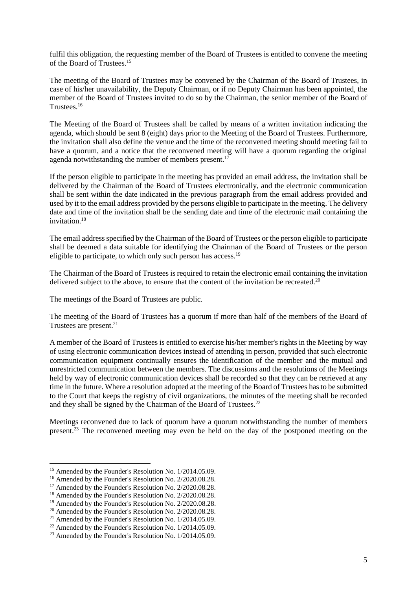fulfil this obligation, the requesting member of the Board of Trustees is entitled to convene the meeting of the Board of Trustees.<sup>15</sup>

The meeting of the Board of Trustees may be convened by the Chairman of the Board of Trustees, in case of his/her unavailability, the Deputy Chairman, or if no Deputy Chairman has been appointed, the member of the Board of Trustees invited to do so by the Chairman, the senior member of the Board of Trustees.<sup>16</sup>

The Meeting of the Board of Trustees shall be called by means of a written invitation indicating the agenda, which should be sent 8 (eight) days prior to the Meeting of the Board of Trustees. Furthermore, the invitation shall also define the venue and the time of the reconvened meeting should meeting fail to have a quorum, and a notice that the reconvened meeting will have a quorum regarding the original agenda notwithstanding the number of members present.<sup>17</sup>

If the person eligible to participate in the meeting has provided an email address, the invitation shall be delivered by the Chairman of the Board of Trustees electronically, and the electronic communication shall be sent within the date indicated in the previous paragraph from the email address provided and used by it to the email address provided by the persons eligible to participate in the meeting. The delivery date and time of the invitation shall be the sending date and time of the electronic mail containing the invitation $18$ 

The email address specified by the Chairman of the Board of Trustees or the person eligible to participate shall be deemed a data suitable for identifying the Chairman of the Board of Trustees or the person eligible to participate, to which only such person has access.<sup>19</sup>

The Chairman of the Board of Trustees is required to retain the electronic email containing the invitation delivered subject to the above, to ensure that the content of the invitation be recreated.<sup>20</sup>

The meetings of the Board of Trustees are public.

The meeting of the Board of Trustees has a quorum if more than half of the members of the Board of Trustees are present.<sup>21</sup>

A member of the Board of Trustees is entitled to exercise his/her member's rights in the Meeting by way of using electronic communication devices instead of attending in person, provided that such electronic communication equipment continually ensures the identification of the member and the mutual and unrestricted communication between the members. The discussions and the resolutions of the Meetings held by way of electronic communication devices shall be recorded so that they can be retrieved at any time in the future. Where a resolution adopted at the meeting of the Board of Trustees has to be submitted to the Court that keeps the registry of civil organizations, the minutes of the meeting shall be recorded and they shall be signed by the Chairman of the Board of Trustees.<sup>22</sup>

Meetings reconvened due to lack of quorum have a quorum notwithstanding the number of members present.<sup>23</sup> The reconvened meeting may even be held on the day of the postponed meeting on the

<sup>15</sup> Amended by the Founder's Resolution No. 1/2014.05.09.

<sup>&</sup>lt;sup>16</sup> Amended by the Founder's Resolution No. 2/2020.08.28.

<sup>&</sup>lt;sup>17</sup> Amended by the Founder's Resolution No. 2/2020.08.28.

<sup>18</sup> Amended by the Founder's Resolution No. 2/2020.08.28.

<sup>&</sup>lt;sup>19</sup> Amended by the Founder's Resolution No. 2/2020.08.28.

<sup>20</sup> Amended by the Founder's Resolution No. 2/2020.08.28.

<sup>21</sup> Amended by the Founder's Resolution No. 1/2014.05.09.

<sup>&</sup>lt;sup>22</sup> Amended by the Founder's Resolution No. 1/2014.05.09.

<sup>23</sup> Amended by the Founder's Resolution No. 1/2014.05.09.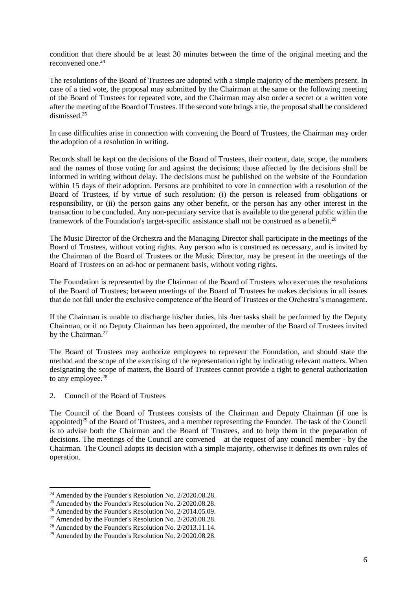condition that there should be at least 30 minutes between the time of the original meeting and the reconvened one.<sup>24</sup>

The resolutions of the Board of Trustees are adopted with a simple majority of the members present. In case of a tied vote, the proposal may submitted by the Chairman at the same or the following meeting of the Board of Trustees for repeated vote, and the Chairman may also order a secret or a written vote after the meeting of the Board of Trustees. If the second vote brings a tie, the proposal shall be considered dismissed.<sup>25</sup>

In case difficulties arise in connection with convening the Board of Trustees, the Chairman may order the adoption of a resolution in writing.

Records shall be kept on the decisions of the Board of Trustees, their content, date, scope, the numbers and the names of those voting for and against the decisions; those affected by the decisions shall be informed in writing without delay. The decisions must be published on the website of the Foundation within 15 days of their adoption. Persons are prohibited to vote in connection with a resolution of the Board of Trustees, if by virtue of such resolution: (i) the person is released from obligations or responsibility, or (ii) the person gains any other benefit, or the person has any other interest in the transaction to be concluded. Any non-pecuniary service that is available to the general public within the framework of the Foundation's target-specific assistance shall not be construed as a benefit.<sup>26</sup>

The Music Director of the Orchestra and the Managing Director shall participate in the meetings of the Board of Trustees, without voting rights. Any person who is construed as necessary, and is invited by the Chairman of the Board of Trustees or the Music Director, may be present in the meetings of the Board of Trustees on an ad-hoc or permanent basis, without voting rights.

The Foundation is represented by the Chairman of the Board of Trustees who executes the resolutions of the Board of Trustees; between meetings of the Board of Trustees he makes decisions in all issues that do not fall under the exclusive competence of the Board of Trustees or the Orchestra's management.

If the Chairman is unable to discharge his/her duties, his /her tasks shall be performed by the Deputy Chairman, or if no Deputy Chairman has been appointed, the member of the Board of Trustees invited by the Chairman.<sup>27</sup>

The Board of Trustees may authorize employees to represent the Foundation, and should state the method and the scope of the exercising of the representation right by indicating relevant matters. When designating the scope of matters, the Board of Trustees cannot provide a right to general authorization to any employee.<sup>28</sup>

2. Council of the Board of Trustees

The Council of the Board of Trustees consists of the Chairman and Deputy Chairman (if one is appointed)<sup>29</sup> of the Board of Trustees, and a member representing the Founder. The task of the Council is to advise both the Chairman and the Board of Trustees, and to help them in the preparation of decisions. The meetings of the Council are convened – at the request of any council member - by the Chairman. The Council adopts its decision with a simple majority, otherwise it defines its own rules of operation.

<sup>24</sup> Amended by the Founder's Resolution No. 2/2020.08.28.

<sup>&</sup>lt;sup>25</sup> Amended by the Founder's Resolution No. 2/2020.08.28.

<sup>26</sup> Amended by the Founder's Resolution No. 2/2014.05.09.

<sup>27</sup> Amended by the Founder's Resolution No. 2/2020.08.28.

<sup>28</sup> Amended by the Founder's Resolution No. 2/2013.11.14.

<sup>29</sup> Amended by the Founder's Resolution No. 2/2020.08.28.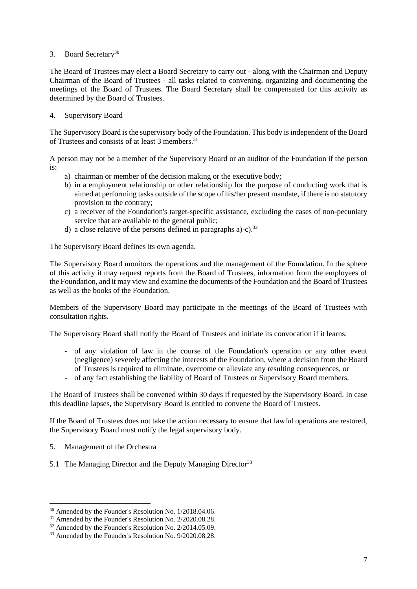#### 3. Board Secretary<sup>30</sup>

The Board of Trustees may elect a Board Secretary to carry out - along with the Chairman and Deputy Chairman of the Board of Trustees - all tasks related to convening, organizing and documenting the meetings of the Board of Trustees. The Board Secretary shall be compensated for this activity as determined by the Board of Trustees.

#### 4. Supervisory Board

The Supervisory Board is the supervisory body of the Foundation. This body is independent of the Board of Trustees and consists of at least 3 members.<sup>31</sup>

A person may not be a member of the Supervisory Board or an auditor of the Foundation if the person is:

- a) chairman or member of the decision making or the executive body;
- b) in a employment relationship or other relationship for the purpose of conducting work that is aimed at performing tasks outside of the scope of his/her present mandate, if there is no statutory provision to the contrary;
- c) a receiver of the Foundation's target-specific assistance, excluding the cases of non-pecuniary service that are available to the general public;
- d) a close relative of the persons defined in paragraphs a)-c).<sup>32</sup>

The Supervisory Board defines its own agenda.

The Supervisory Board monitors the operations and the management of the Foundation. In the sphere of this activity it may request reports from the Board of Trustees, information from the employees of the Foundation, and it may view and examine the documents of the Foundation and the Board of Trustees as well as the books of the Foundation.

Members of the Supervisory Board may participate in the meetings of the Board of Trustees with consultation rights.

The Supervisory Board shall notify the Board of Trustees and initiate its convocation if it learns:

- of any violation of law in the course of the Foundation's operation or any other event (negligence) severely affecting the interests of the Foundation, where a decision from the Board of Trustees is required to eliminate, overcome or alleviate any resulting consequences, or
- of any fact establishing the liability of Board of Trustees or Supervisory Board members.

The Board of Trustees shall be convened within 30 days if requested by the Supervisory Board. In case this deadline lapses, the Supervisory Board is entitled to convene the Board of Trustees.

If the Board of Trustees does not take the action necessary to ensure that lawful operations are restored, the Supervisory Board must notify the legal supervisory body.

- 5. Management of the Orchestra
- 5.1 The Managing Director and the Deputy Managing Director<sup>33</sup>

<sup>30</sup> Amended by the Founder's Resolution No. 1/2018.04.06.

<sup>&</sup>lt;sup>31</sup> Amended by the Founder's Resolution No. 2/2020.08.28.

<sup>&</sup>lt;sup>32</sup> Amended by the Founder's Resolution No. 2/2014.05.09.

<sup>&</sup>lt;sup>33</sup> Amended by the Founder's Resolution No. 9/2020.08.28.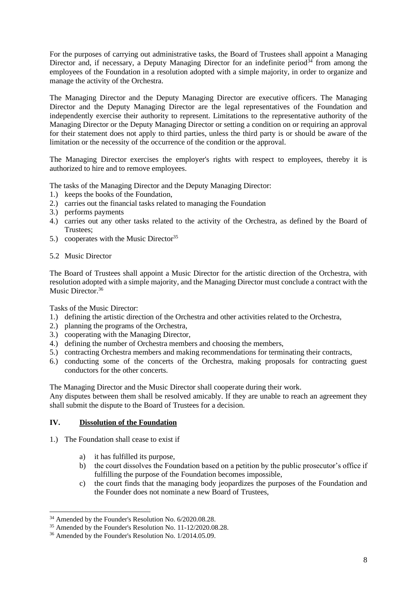For the purposes of carrying out administrative tasks, the Board of Trustees shall appoint a Managing Director and, if necessary, a Deputy Managing Director for an indefinite period<sup>34</sup> from among the employees of the Foundation in a resolution adopted with a simple majority, in order to organize and manage the activity of the Orchestra.

The Managing Director and the Deputy Managing Director are executive officers. The Managing Director and the Deputy Managing Director are the legal representatives of the Foundation and independently exercise their authority to represent. Limitations to the representative authority of the Managing Director or the Deputy Managing Director or setting a condition on or requiring an approval for their statement does not apply to third parties, unless the third party is or should be aware of the limitation or the necessity of the occurrence of the condition or the approval.

The Managing Director exercises the employer's rights with respect to employees, thereby it is authorized to hire and to remove employees.

The tasks of the Managing Director and the Deputy Managing Director:

- 1.) keeps the books of the Foundation,
- 2.) carries out the financial tasks related to managing the Foundation
- 3.) performs payments
- 4.) carries out any other tasks related to the activity of the Orchestra, as defined by the Board of Trustees;
- 5.) cooperates with the Music Director<sup>35</sup>
- 5.2 Music Director

The Board of Trustees shall appoint a Music Director for the artistic direction of the Orchestra, with resolution adopted with a simple majority, and the Managing Director must conclude a contract with the Music Director.<sup>36</sup>

Tasks of the Music Director:

- 1.) defining the artistic direction of the Orchestra and other activities related to the Orchestra,
- 2.) planning the programs of the Orchestra,
- 3.) cooperating with the Managing Director,
- 4.) defining the number of Orchestra members and choosing the members,
- 5.) contracting Orchestra members and making recommendations for terminating their contracts,
- 6.) conducting some of the concerts of the Orchestra, making proposals for contracting guest conductors for the other concerts.

The Managing Director and the Music Director shall cooperate during their work.

Any disputes between them shall be resolved amicably. If they are unable to reach an agreement they shall submit the dispute to the Board of Trustees for a decision.

# **IV. Dissolution of the Foundation**

- 1.) The Foundation shall cease to exist if
	- a) it has fulfilled its purpose,
	- b) the court dissolves the Foundation based on a petition by the public prosecutor's office if fulfilling the purpose of the Foundation becomes impossible,
	- c) the court finds that the managing body jeopardizes the purposes of the Foundation and the Founder does not nominate a new Board of Trustees,

<sup>&</sup>lt;sup>34</sup> Amended by the Founder's Resolution No. 6/2020.08.28.

<sup>&</sup>lt;sup>35</sup> Amended by the Founder's Resolution No. 11-12/2020.08.28.

<sup>36</sup> Amended by the Founder's Resolution No. 1/2014.05.09.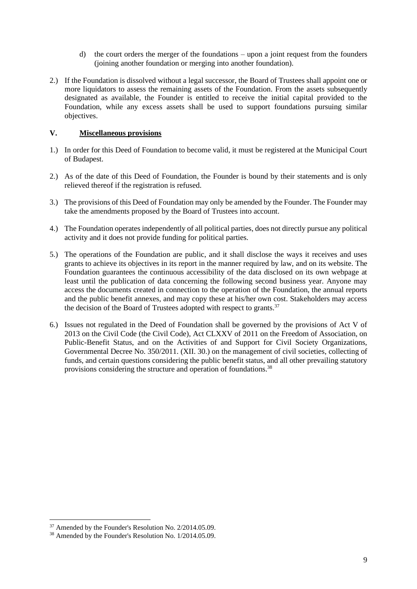- d) the court orders the merger of the foundations upon a joint request from the founders (joining another foundation or merging into another foundation).
- 2.) If the Foundation is dissolved without a legal successor, the Board of Trustees shall appoint one or more liquidators to assess the remaining assets of the Foundation. From the assets subsequently designated as available, the Founder is entitled to receive the initial capital provided to the Foundation, while any excess assets shall be used to support foundations pursuing similar objectives.

#### **V. Miscellaneous provisions**

- 1.) In order for this Deed of Foundation to become valid, it must be registered at the Municipal Court of Budapest.
- 2.) As of the date of this Deed of Foundation, the Founder is bound by their statements and is only relieved thereof if the registration is refused.
- 3.) The provisions of this Deed of Foundation may only be amended by the Founder. The Founder may take the amendments proposed by the Board of Trustees into account.
- 4.) The Foundation operates independently of all political parties, does not directly pursue any political activity and it does not provide funding for political parties.
- 5.) The operations of the Foundation are public, and it shall disclose the ways it receives and uses grants to achieve its objectives in its report in the manner required by law, and on its website. The Foundation guarantees the continuous accessibility of the data disclosed on its own webpage at least until the publication of data concerning the following second business year. Anyone may access the documents created in connection to the operation of the Foundation, the annual reports and the public benefit annexes, and may copy these at his/her own cost. Stakeholders may access the decision of the Board of Trustees adopted with respect to grants.<sup>37</sup>
- 6.) Issues not regulated in the Deed of Foundation shall be governed by the provisions of Act V of 2013 on the Civil Code (the Civil Code), Act CLXXV of 2011 on the Freedom of Association, on Public-Benefit Status, and on the Activities of and Support for Civil Society Organizations, Governmental Decree No. 350/2011. (XII. 30.) on the management of civil societies, collecting of funds, and certain questions considering the public benefit status, and all other prevailing statutory provisions considering the structure and operation of foundations.<sup>38</sup>

<sup>&</sup>lt;sup>37</sup> Amended by the Founder's Resolution No. 2/2014.05.09.

<sup>38</sup> Amended by the Founder's Resolution No. 1/2014.05.09.